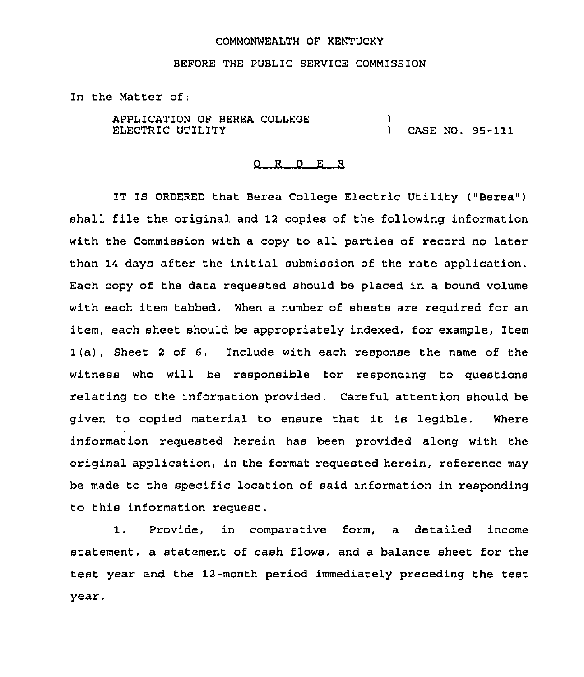### COMMONWEALTH OF KENTUCKY

# BEFORE THE PUBLIC SERVICE COMMISSION

In the Matter of:

APPLICATION OF BEREA COLLEGE ELECTRIC UTILITY  $\left\{ \right.$ ) CASE NO. 95-111

#### 0 R <sup>D</sup> E R

IT IS ORDERED that Berea College Electric Utility ("Berea") shall file the original and 12 copies of the following information with the Commission with <sup>a</sup> copy to all parties of record no later than 14 days after the initial submission of the rate application. Each copy of the data requested should be placed in a bound volume with each item tabbed. When a number of sheets are required for an item, each sheet should be appropriately indexed, for example, Item 1(a), Sheet <sup>2</sup> of 6. Include with each response the name of the witness who will be responsible for responding to questions relating to the information provided. Careful attention should be given to copied material to ensure that it is legible. Where information requested herein has been provided along with the original application, in the format requested herein, reference may be made to the specific location of said information in responding to this information request.

1. Provide, in comparative form, <sup>a</sup> detailed income statement, a statement of cash flows, and a balance sheet for the test year and the 12-month period immediately preceding the test year,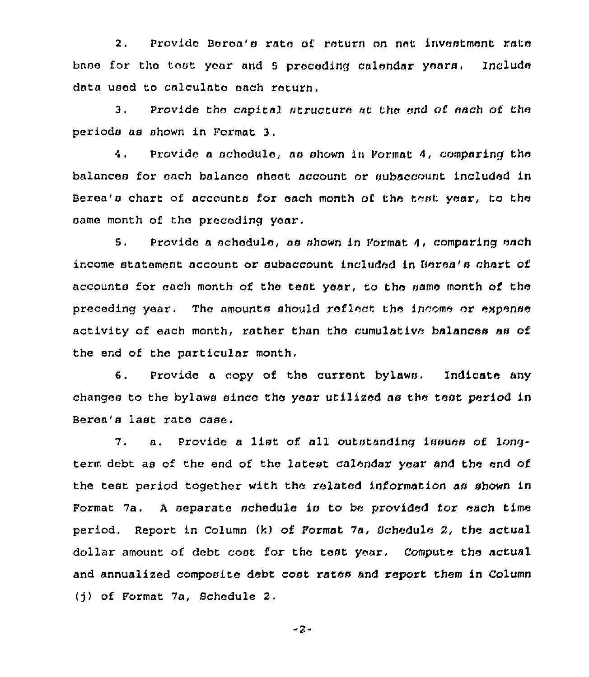2. Provide Berea's rate of return on net investment rate base for the tost year and 5 preceding calendar years. Include data used to calculate each roturn.

3. Provide tho capital structure at the end of each of the periods as shown in Format 3,

4. Provide a schedule, as shown in Pormat 4, comparing the balances for each balance sheet account or aubaccount included in Berea's chart of accounts for each month of the test year, to the same month of the preceding year.

5. Provide a schedule, as shown in Format 4, comparing each income statement account or subaccount included in Berea's chart of accounts for each month of the test year, to the same month of the preceding year, The amounts should reflect the income ox'xpense activity of each month, rather than the cumulative balances aa of the end of the particular month,

6. Provide <sup>a</sup> copy of the current bylaws. Indicate any changes to the bylaws since the year utilized as the teat period in Bores's last xate case,

7. a. Provide <sup>a</sup> list of all outstanding issues of longterm debt as of the end of the latest calendar year and the end of the test period together with the related information as shown in Format 7a. <sup>A</sup> separate schedule is to be provided for each time period. Report in Column (k) of Pormat 7a, Schedule 2, the actual dollar amount of debt cost for the test year, Compute the actual and annualized composite debt cost rates and report them in Column (j) of Format 7a, Schedule 2.

-2-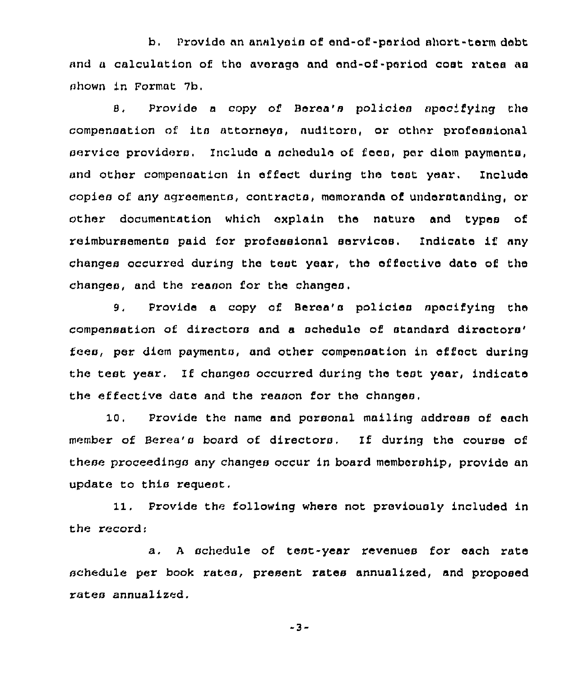b, Provide an analysis of end-of-period short-term debt and a calculation of the average and end-of-period coat rates as shown in Format 7b.

8. Provide a copy of Berea's policies specifying the compensation nf its attorneys, auditors, or other professional service providers. Include a schedule of fees, per diem payments, and other compensation in effect during the teat year. Include copies of any agreements, contracts, memoranda of understanding, or other documentation which explain the nature and types of reimbursements paid for professional services. Indicate if any changes occurred during the test year, the effective date of the changes, and the reason for the changes.

9. Provide a copy of Berea's policies specifying the compensation of directors and a schedule of standard fees, per diem payments, and other compensation in effect during the test year. If changes occurred during the test year, indicate the effective date and the reason for the changes,

10. Provide the name and personal mailing address of each member of Berea's board of directors. If during the course of these proceedings any changes occur in board membership, provide an update to this request.

11, Provide the following where not previously included in the record:

a. <sup>A</sup> schedule of test-year revenues for each rate schedule per book rates, present rates annualized, and proposed rates annualized.

-3-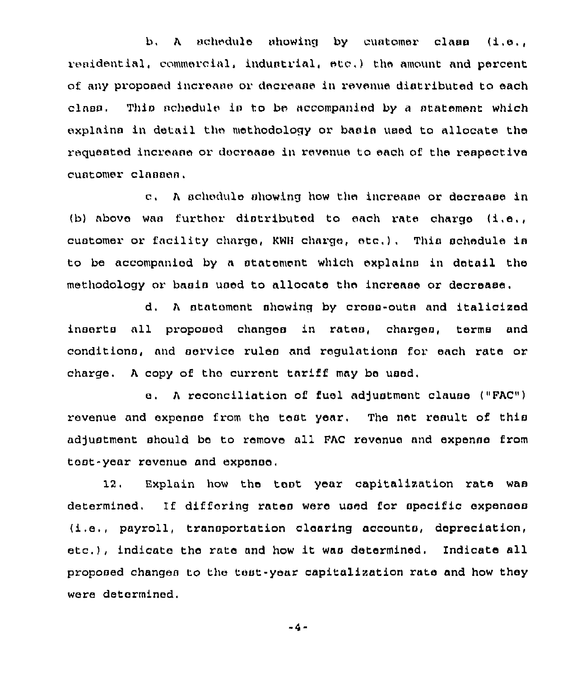$b, \lambda$  schedule showing by customer class  $(1, e, \mu)$ reaidential, commercial, industrial, etc.) the amount and percent of any proposed increase or decrease in revenue distributed to each class. This achedule is to be accompanied by a statement which explains in detail the methodology or basis used to allocate the requested increase or decrease in revenue to each of the respective customer clanaen.

c. A schedule showing how the increase or decrease in (b) above was further distributed to each rate charge  $(i.e.,$ customer or facility charge, KWH charge, etc.). This schedule is to be accompanied by a statement which explains in detail the methodology or basis used to allocate the increase or decrease.

d, <sup>A</sup> statement ahowinq by croon-outa and italicized inserts all proposed changes in rates, chargea, terms and conditions, and service rules and requlations for each rate or charge, <sup>A</sup> copy of tho current tariff may be used,

e. A reconciliation of fuel adjustment clause ("FAC") revenue and expense from the test year. The net result of this adjustment should be to remove all FAC revenue and expense from tent-year revenue and expense,

12. Explain how the tent year capitalization rats waa determined. If differing rates were used for specific expenses (i.e,, payroll, transportation clearing accounts, depreciation, etc.), indicate the rate and how it was determined. Indicate all proposed changes to the teat-year capitalization rate and how they were determined,

 $-4-$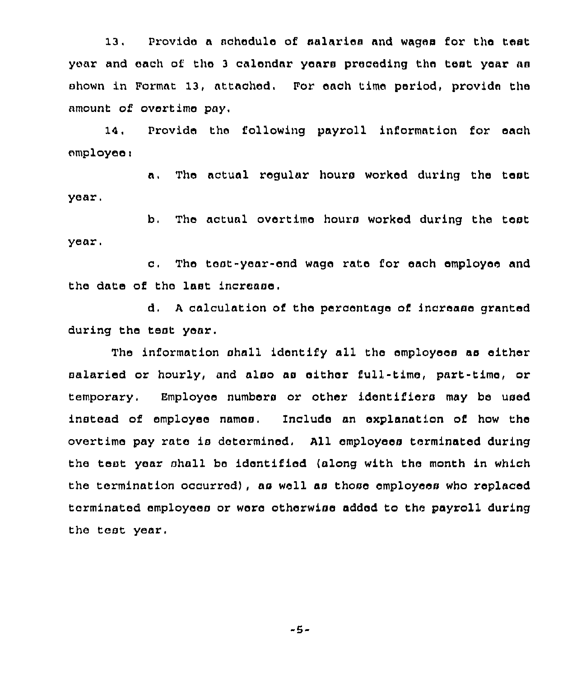13. Provide a schedule of salaries and wages for the test year and each of the <sup>3</sup> calendar years preceding the test year aa shown in Format 13, attached. For each time period, provide the amount of overtime pay,

14. Provide the following payroll information for each employee:

a. The actual regular hours worked during the test year.

b, The actual overtime hours worked during the test year.

c. The teat-year-end wage rate for each employee and the date of the last increase.

d, <sup>A</sup> calculation of the percentage of increase granted during the teat year,

The information shall identify all the employees as either salaried or hourly, and also as either full-time, part-time, or temporary. Employee numbers or other identifiers may be used instead of employee names, Include an explanation of how the overtime pay rate is determined. All employees terminated during the test year shall be identified (along with the month in which the termination occurred), as well as those employees who replaced terminated employees or were otherwise added to the payroll during the test year,

-5-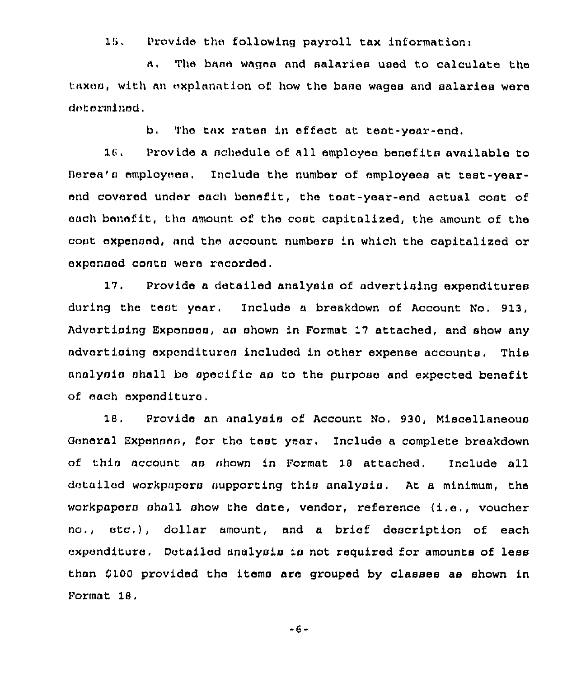18, Provide the following payroll tax information:

a, The bane wages and salaries used to calculate the taxes, with an explanation of how the base wages and salaries were determined,

b, The tax rates in effect at test-year-end,

18. Provide a schedule of all employee benefits available to Berea's employees. Include the number of employees at test-yearend covered under each benefit, the test-year-end actual cost of each benefit, the amount of the coat capitalized, the amount of the cost oxpensed, and the account numbers in which the capitalized or expensed coats were recorded.

17. Provide a detailed analysis of advertising expenditures during the test year, Include <sup>a</sup> breakdown of Account No. 913, Advertising Expenses, as shown in Format 17 attached, and show any advertising expenditures included in other expense accounts. This analysis shall be specific as to the purpose and expected benefit of each expenditure,

18, Provide an analysis of Account No, 930, Miscellaneous General Expenses, for the test year, Include a complete breakdown of this account as shown in Format 18 attached, Include all detailed workpapers supporting this analysis. At a minimum, the workpapers shall show the date, vendor, reference (i.e., voucher no,, etc,), dollar amount, and <sup>a</sup> brief description of each expenditure. Detailed analysis is not required for amounts of less than \$100 provided the items are grouped by classes as shown in Pormat 18.

 $-6-$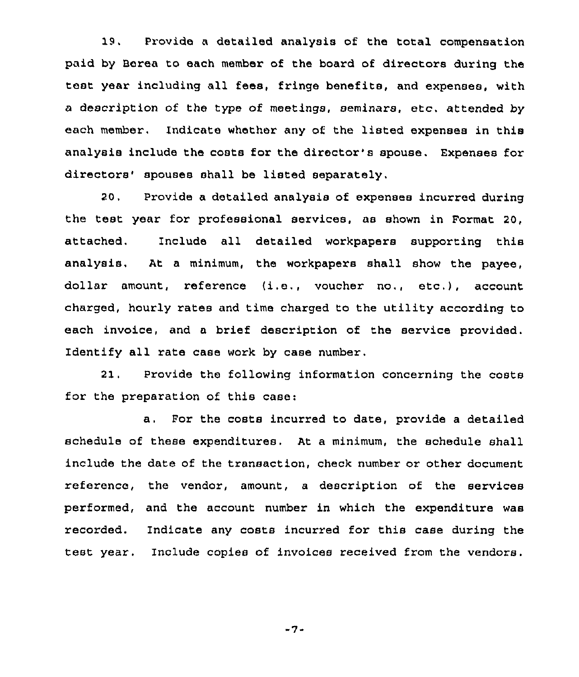19. Provide <sup>a</sup> detailed analysis of the total compensation paid by Berea to each member of the board of directors during the test year including all fees, fringe benefits, and expenses, with a description of the type of meetings, seminars, etc, attended by each member. Indicate whether any of the listed expenses in this analysis include the costs for the director's spouse. Expenses for directors' spouses shall be listed separately.

20, Provide a detailed analysis of expenses incurred during the test year for professional services, as shown in Format 20. attached. Include all detailed workpapers supporting this analysis, At a minimum, the workpapers shall show the payee, dollar amount, reference (i.e,, voucher no., etc.), account charged, hourly rates and time charged to the utility according to each invoice, and a brief description of the service provided. Identify all rate case work by case number,

21, Provide the following information concerning the costs for the preparation of this case:

a. For the costs incurred to date, provide <sup>a</sup> detailed schedule of these expenditures. At a minimum, the schedule shall include the date of the transaction, check number or other document reference, the vendor, amount, a description of the services performed, and the account number in which the expenditure was recorded. Indicate any costs incurred for this case during the test year. Include copies of invoices received from the vendors.

 $-7-$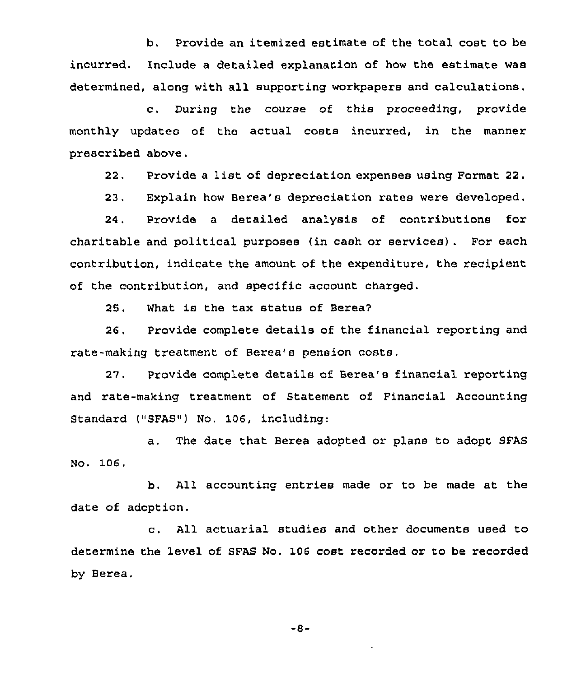b. Provide an itemized estimate of the total cost to be incurred. Include a detailed explanation of how the estimate was determined, along with all supporting workpapers and calculations.

c. During the course of this proceeding, provide monthly updates of the actual costs incurred, in the manner prescribed above.

22. Provide <sup>a</sup> list of depreciation expenses using Format 22.

23. Explain how Berea's depreciation rates were developed.

24. Provide a detailed analysis of contributions for charitable and political purposes (in cash or services) . For each contribution, indicate the amount of the expenditure, the recipient of the contribution, and specific account charged.

25. What is the tax status of Berea2

26, Provide complete details of the financial reporting and rate-making treatment of Berea's pension costs,

27, Provide complete details of Berea's financial reporting and rate-making treatment of Statement of Financial Accounting Standard ("SFAS") No. 106, ircluding:

a. The date that Berea adopted or plans to adopt SFAS No. 106.

b. All accounting entries made or to be made at the date of adoption.

c. All actuarial studies and other documents used to determine the level of SFAS No. 106 cost recorded or to be recorded by Berea,

 $-8-$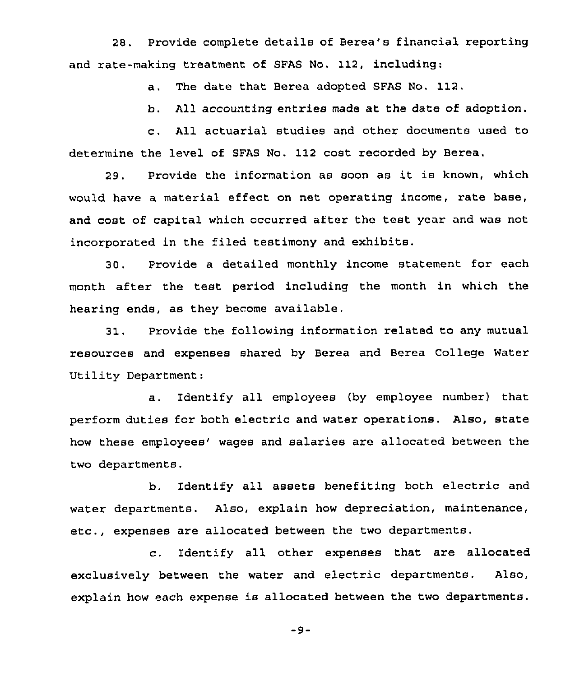28. Provide complete details of Berea's financial reporting and rate-making treatment of SFAS No. 112, including:

a. The date that Berea adopted SFAS No. 112.

b. All accounting entries made at the date of adoption.

c. All actuarial studies and other documents used to determine the level of SFAS No. 112 cost recorded by Berea.

29. Provide the information as soon as it is known, which would have a material effect on net operating income, rate base, and cost of capital which occurred after the test year and was not incorporated in the filed testimony and exhibits.

30. Provide a detailed monthly income statement for each month after the test period including the month in which the hearing ends, as they become available.

31. Provide the following information related to any mutual resources and expenses shared by Berea and Berea College Water Utility Department:

a . Identify all employees (by employee number) that perform duties for both electric and water operations. Also, state how these employees' wages and salaries are allocated between the two departments.

b. Identify all assets benefiting both electric and water departments. Also, explain how depreciation, maintenance, etc., expenses are allocated between the two departments.

c. Identify all other expenses that are allocated exclusively between the water and electric departments. Also, explain how each expense is allocated between the two departments.

 $-9-$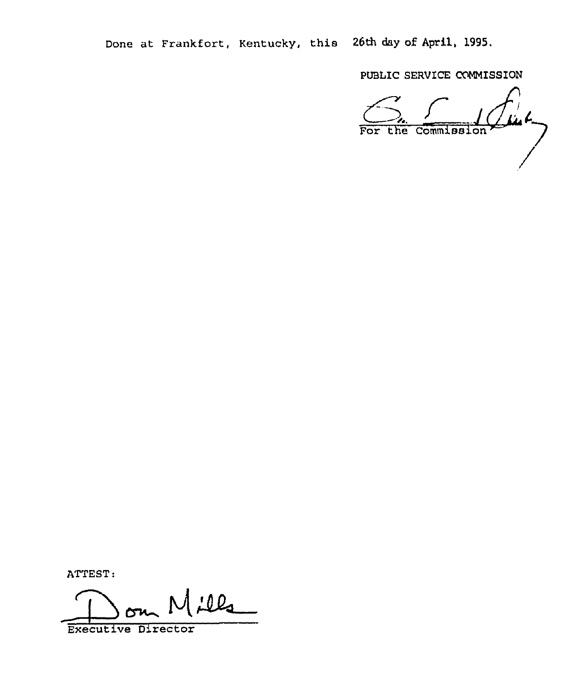Done at Frankfort, Kentucky, this 26th day oE April, 1995.

PUBLIC SERVICE COMMISSION

For the Commission

ATTEST:

ills  $\overline{\phantom{0}}$ 

Executive Director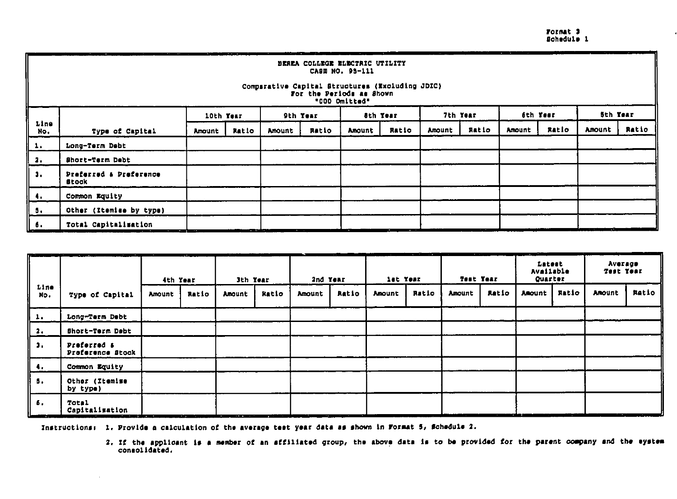Format 3<br>Schedule 1

 $\bullet$ 

|               | $\cdots$                                                                                                                                          |           |       |        |          |        |                 |               |          |        |          |                 |       |
|---------------|---------------------------------------------------------------------------------------------------------------------------------------------------|-----------|-------|--------|----------|--------|-----------------|---------------|----------|--------|----------|-----------------|-------|
|               | BEREA COLLEGE ELECTRIC UTILITY<br>CASE NO. 95-111<br>Comparative Capital Structures (Excluding JDIC)<br>For the Periods as Shown<br>"000 Omitted" |           |       |        |          |        |                 |               |          |        |          |                 |       |
|               |                                                                                                                                                   | 10th Year |       |        | 9th Year |        | <b>Sth Year</b> |               | 7th Year |        | 6th Year | <b>Sth Year</b> |       |
| Line<br>No.   | Type of Capital                                                                                                                                   | Amount    | Ratio | Amount | Ratio    | Amount | Ratio           | <b>Amount</b> | Ratio    | Amount | Ratio    | Amount          | Ratio |
| 1.            | Long-Term Debt                                                                                                                                    |           |       |        |          |        |                 |               |          |        |          |                 |       |
| а.            | Short-Term Debt                                                                                                                                   |           |       |        |          |        |                 |               |          |        |          |                 |       |
| $\mathbf{3.}$ | Preferred & Dreference<br>Btock                                                                                                                   |           |       |        |          |        |                 |               |          |        |          |                 |       |
| 4.            | Common Equity                                                                                                                                     |           |       |        |          |        |                 |               |          |        |          |                 |       |
| 5.            | Other (Itemise by type)                                                                                                                           |           |       |        |          |        |                 |               |          |        |          |                 |       |
| 6.            | Total Capitalization                                                                                                                              |           |       |        |          |        |                 |               |          |        |          | - -             |       |

|             |                                 | . .<br>Test Year<br>let Year<br>2nd Year<br>3th Year<br>4th Year |       |               | an an an an an an an an an an an an<br>Latest<br>Available<br><b>Quarter</b> |        | Average<br>Test Year |        |       |               |       |               |       |        |       |
|-------------|---------------------------------|------------------------------------------------------------------|-------|---------------|------------------------------------------------------------------------------|--------|----------------------|--------|-------|---------------|-------|---------------|-------|--------|-------|
| Line<br>No. | Type of Capital                 | Amount                                                           | Ratio | <b>Anount</b> | Ratio                                                                        | Amount | Ratio                | Amount | Ratio | <b>Amount</b> | Ratio | <b>Amount</b> | Ratio | Amount | Ratio |
| 1.          | Long-Term Debt                  |                                                                  |       |               |                                                                              |        |                      |        |       |               |       |               |       |        |       |
| 2.          | Short-Term Debt                 |                                                                  |       |               |                                                                              |        |                      |        |       |               |       |               |       |        |       |
| з.          | Preferred &<br>Proference Stock |                                                                  |       |               |                                                                              |        |                      |        |       |               |       |               |       |        |       |
| 4.          | Common Equity                   |                                                                  |       |               |                                                                              |        |                      |        |       |               |       |               |       |        |       |
| 5.          | Other (Itemise<br>by type)      |                                                                  |       |               |                                                                              |        |                      |        |       |               |       |               |       |        |       |
| 6.          | Total<br>Capitalisation         |                                                                  |       |               |                                                                              |        |                      |        |       |               |       |               |       | --     |       |

Instructions: 1. Provide a calculation of the average test year data as shown in Format 5, Schedule 2.

2. If the applicant is a member of an affiliated group, the above data is to be provided for the parent company and the eystem consolidated.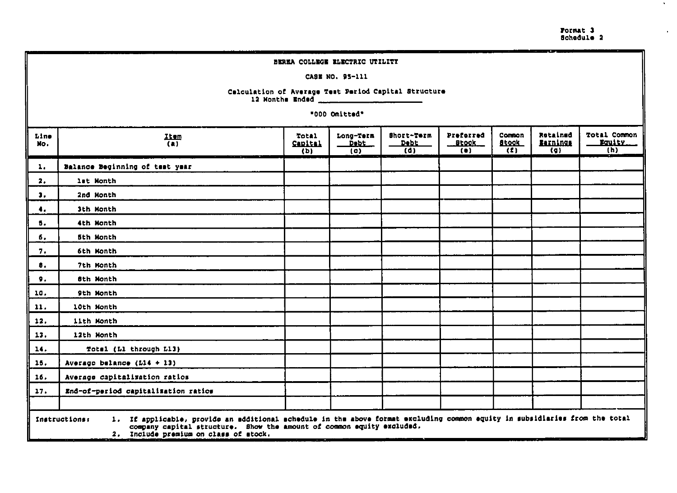Format 3<br>Schedule 2

 $\mathcal{N}_{\mathrm{c}}$ 

 $\bullet$ 

|                                            | BEREA COLLEGE ELECTRIC UTILITY                                                                                                                                                                                                                                                                                                   |  |                 |                                                      |  |  |  |  |  |  |  |  |
|--------------------------------------------|----------------------------------------------------------------------------------------------------------------------------------------------------------------------------------------------------------------------------------------------------------------------------------------------------------------------------------|--|-----------------|------------------------------------------------------|--|--|--|--|--|--|--|--|
|                                            |                                                                                                                                                                                                                                                                                                                                  |  | CASE NO. 95-111 |                                                      |  |  |  |  |  |  |  |  |
|                                            |                                                                                                                                                                                                                                                                                                                                  |  |                 | Calculation of Average Test Period Capital Structure |  |  |  |  |  |  |  |  |
|                                            | "000 Onitted"                                                                                                                                                                                                                                                                                                                    |  |                 |                                                      |  |  |  |  |  |  |  |  |
| Line<br>No.                                | Total Common<br>Rotained<br>Short-Term<br>Preforred<br>Common<br>Long-Term<br>Total<br>$\frac{Iten}{(a)}$<br>Faulty.<br><b>Barnings</b><br><b>Debt</b><br><u>__Btook_</u><br><b>Stock</b><br>Capital<br>Debt<br>(0)<br>$\overline{(\mathfrak{g})}$<br>(h)<br>$\overline{(\mathsf{d})}$<br>(t)<br>(b)<br>$\left( \bullet \right)$ |  |                 |                                                      |  |  |  |  |  |  |  |  |
| ı.                                         | Balance Beginning of test year                                                                                                                                                                                                                                                                                                   |  |                 |                                                      |  |  |  |  |  |  |  |  |
| 2.                                         | lat Month                                                                                                                                                                                                                                                                                                                        |  |                 |                                                      |  |  |  |  |  |  |  |  |
| з.                                         | 2nd Month                                                                                                                                                                                                                                                                                                                        |  |                 |                                                      |  |  |  |  |  |  |  |  |
| 4.                                         | 3th Month                                                                                                                                                                                                                                                                                                                        |  |                 |                                                      |  |  |  |  |  |  |  |  |
| 5.                                         | 4th Month                                                                                                                                                                                                                                                                                                                        |  |                 |                                                      |  |  |  |  |  |  |  |  |
| 6.                                         | 5th Month                                                                                                                                                                                                                                                                                                                        |  |                 |                                                      |  |  |  |  |  |  |  |  |
| 7.                                         | 6th Month                                                                                                                                                                                                                                                                                                                        |  |                 |                                                      |  |  |  |  |  |  |  |  |
| 8.                                         | 7th Month                                                                                                                                                                                                                                                                                                                        |  |                 |                                                      |  |  |  |  |  |  |  |  |
| 9.                                         | <b>8th Month</b>                                                                                                                                                                                                                                                                                                                 |  |                 |                                                      |  |  |  |  |  |  |  |  |
| 10.                                        | 9th Month                                                                                                                                                                                                                                                                                                                        |  |                 |                                                      |  |  |  |  |  |  |  |  |
| 11.                                        | 10th Month                                                                                                                                                                                                                                                                                                                       |  |                 |                                                      |  |  |  |  |  |  |  |  |
| 12.                                        | 11th Month                                                                                                                                                                                                                                                                                                                       |  |                 |                                                      |  |  |  |  |  |  |  |  |
| 13.                                        | 12th Month                                                                                                                                                                                                                                                                                                                       |  |                 |                                                      |  |  |  |  |  |  |  |  |
| 14.                                        | Total (Ll through L13)                                                                                                                                                                                                                                                                                                           |  |                 |                                                      |  |  |  |  |  |  |  |  |
| 15.                                        | Averago balance ( $L14 + L3$ )                                                                                                                                                                                                                                                                                                   |  |                 |                                                      |  |  |  |  |  |  |  |  |
| Average capitalization ratios<br>16.       |                                                                                                                                                                                                                                                                                                                                  |  |                 |                                                      |  |  |  |  |  |  |  |  |
| End-of-period capitalization ratios<br>17. |                                                                                                                                                                                                                                                                                                                                  |  |                 |                                                      |  |  |  |  |  |  |  |  |
|                                            |                                                                                                                                                                                                                                                                                                                                  |  |                 |                                                      |  |  |  |  |  |  |  |  |
|                                            | 1. If applicable, provide an additional achedule in the above format excluding common equity in subsidiaries from the total<br>Instructions:<br>company capital structure. Show the amount of common equity excluded.<br>2. Include premium on class of stock.                                                                   |  |                 |                                                      |  |  |  |  |  |  |  |  |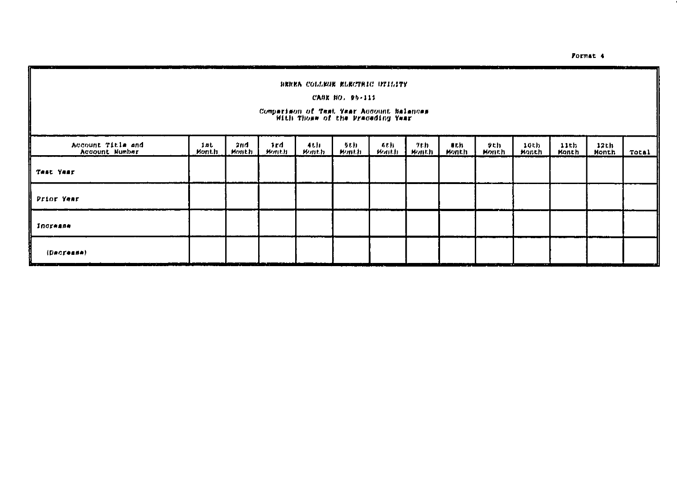Format<sub>4</sub>

|                                     | <b>BEREA COLLEGE ELECTRIC UTILITY</b><br>CABE NO. 99-111<br>Comparison of Test Year Account Balances<br>- With Those of the Preceding Year |              |              |                 |                |                 |              |               |              |                 |               |               |       |
|-------------------------------------|--------------------------------------------------------------------------------------------------------------------------------------------|--------------|--------------|-----------------|----------------|-----------------|--------------|---------------|--------------|-----------------|---------------|---------------|-------|
| Account Title and<br>Account Number | 1mt<br>Month                                                                                                                               | 2nd<br>Month | 1rd<br>Month | 4 L.H<br>Hemath | 91 D<br>Mant.h | 4 E.H<br>Wanth) | クもわ<br>ルッハルカ | 9th.<br>Monch | タヒれ<br>Month | 10th<br>Monch   | 11th<br>Month | 12th<br>Month | Total |
| Test Year                           |                                                                                                                                            |              |              |                 |                |                 |              |               |              |                 |               |               |       |
| Prior Year                          |                                                                                                                                            |              |              |                 |                |                 |              |               |              |                 |               |               |       |
| Increase                            |                                                                                                                                            |              |              |                 |                |                 |              |               |              |                 |               |               |       |
| (Decrease)                          |                                                                                                                                            |              |              |                 |                |                 |              |               |              | <b>A</b><br>- - |               |               |       |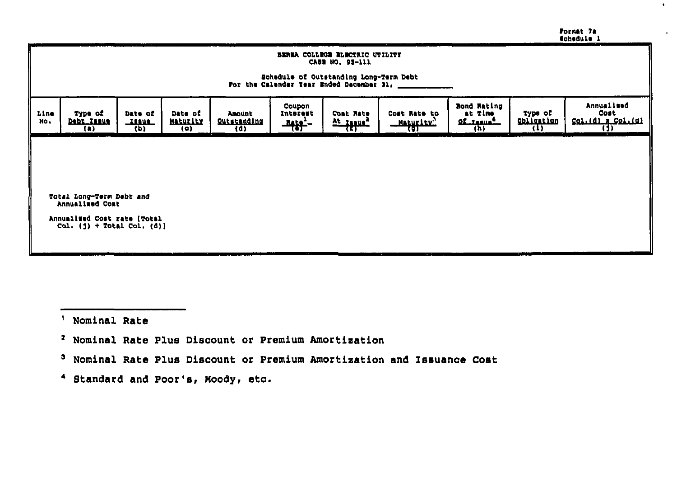|  | Format 7a          |  |
|--|--------------------|--|
|  | <b>M</b> ahedule 1 |  |

 $\bullet$ 

|             | BEREA COLLEGE RUBOTRIC UTILITY<br>CASE NO. 95-111<br>Schedule of Outstanding Long-Term Debt<br>For the Calendar Year Ended December 31, ____                                                                                                                                                                                                                                                             |  |  |  |  |  |  |  |  |  |  |
|-------------|----------------------------------------------------------------------------------------------------------------------------------------------------------------------------------------------------------------------------------------------------------------------------------------------------------------------------------------------------------------------------------------------------------|--|--|--|--|--|--|--|--|--|--|
| line<br>No. | Annualised<br>Bond Rating<br>Coupon<br>Type of<br>Cost<br>Type of<br>at Time<br>Date of<br>Date of<br>Interent<br>Comt Rate<br>Cost Rate to<br><b>Amount</b><br>Col.(d) x Col.(d)<br><b>Obligation</b><br>ve fitine<br>Debt_Issue<br><b>Maturity</b><br><b>QL_IANUA</b><br><b>Qutstanding</b><br><b>LIANAL</b><br><u>Mathritin,</u><br>$\frac{1}{2}$<br>छ।<br>$(\mu)$<br>(1)<br>(b)<br>(A)<br>(a)<br>(d) |  |  |  |  |  |  |  |  |  |  |
|             |                                                                                                                                                                                                                                                                                                                                                                                                          |  |  |  |  |  |  |  |  |  |  |
|             | Total Long-Term Debt and<br>Annualimed Comt<br>Annualized Cost rate [Total<br>Col. $($ j $)$ + Total Col. $(d)$ ]                                                                                                                                                                                                                                                                                        |  |  |  |  |  |  |  |  |  |  |

- ' Nominal Rate
- <sup>2</sup> Nominal Rate Plus Discount or Premium Amortization
- <sup>3</sup> Nominal Rate Plus Discount or Premium Amortization and Issuance Cost
- 4 Standard and Poor's, Moody, etc.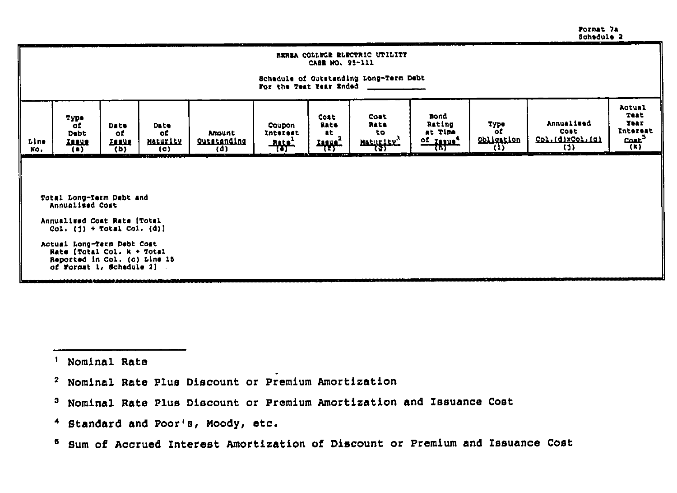Format 7a Schedule 2

|             | BEREA COLLEGE ELECTRIC UTILITY<br>CABR NO. 95-111                                                                                                                                                                                                                                                                                                                                                                                                                                                                                      |  |  |  |  |  |  |  |  |  |  |  |
|-------------|----------------------------------------------------------------------------------------------------------------------------------------------------------------------------------------------------------------------------------------------------------------------------------------------------------------------------------------------------------------------------------------------------------------------------------------------------------------------------------------------------------------------------------------|--|--|--|--|--|--|--|--|--|--|--|
|             | Schedule of Outstanding Long-Term Debt<br>For the Teat Year Ended                                                                                                                                                                                                                                                                                                                                                                                                                                                                      |  |  |  |  |  |  |  |  |  |  |  |
| Line<br>No. | Actual<br>Teat<br>Bond<br>Cost<br>Cost<br>туре<br>Year.<br>Annualized<br>Rating<br>түрө<br>Rate<br>Rate<br>оf<br>Coupon<br><b>Date</b><br><b>Date</b><br><b>Interent</b><br>оf<br><b>Cost</b><br>at Time<br>to.<br>at.<br><b>Debt</b><br>оť<br>Interest<br>o£.<br>Amount<br>$\frac{\text{Cout}^3}{(k)}$<br>Obligation<br>Col.(d)xCol.(g)<br>of Janua <sup>4</sup><br>Outstanding<br>Maturity<br>Maturity"<br><u>Insue</u><br><b>Lesue</b><br>부상학<br><b>Tellie:</b><br>$\overline{w}$<br>้เว่า<br>w<br>ফে<br>(0)<br>(d)<br>$($ .<br>(D) |  |  |  |  |  |  |  |  |  |  |  |
|             |                                                                                                                                                                                                                                                                                                                                                                                                                                                                                                                                        |  |  |  |  |  |  |  |  |  |  |  |
|             | Total Long-Term Debt and<br>Annualised Cost                                                                                                                                                                                                                                                                                                                                                                                                                                                                                            |  |  |  |  |  |  |  |  |  |  |  |
|             | Annualised Cost Rate (Total<br>Col. $(1)$ + Total Col. $(d)$ ]                                                                                                                                                                                                                                                                                                                                                                                                                                                                         |  |  |  |  |  |  |  |  |  |  |  |
|             | Actual Long-Term Debt Cost<br>Rate [Total Col. $k + \text{Total}$<br>Reported in Col. (o) Line 15<br>of Format 1, Schedule 21                                                                                                                                                                                                                                                                                                                                                                                                          |  |  |  |  |  |  |  |  |  |  |  |

<sup>1</sup> Nominal Rate

- <sup>2</sup> Nominal Rate Plus Discount or Premium Amortization
- <sup>3</sup> Nominal Rate Plus Discount or Premium Amortization and Issuance Cost
- 4 Standard and Poor's, Moody, etc.
- <sup>5</sup> Sum of Accrued Interest Amortization of Discount or Premium and Issuance Cost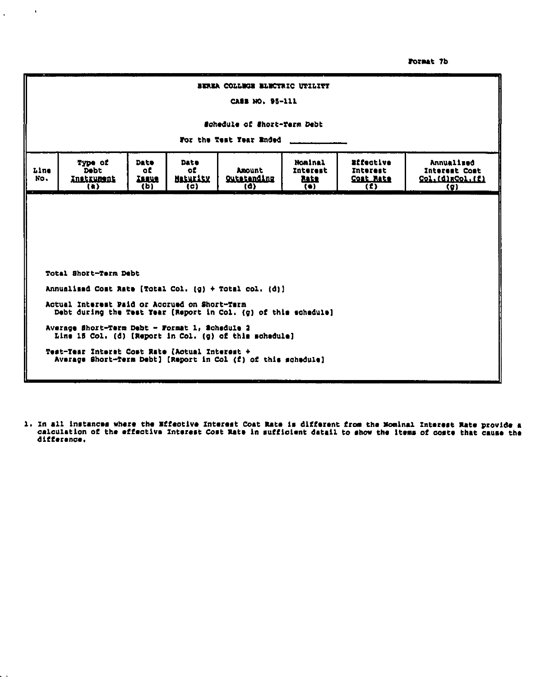Format 7b

|             | BEREA COLLEGE BLECTRIC UTILITY<br>CASS NO. 95-111                                                                                                                                                                                                                                                                                   |  |  |  |  |  |  |  |  |  |  |  |
|-------------|-------------------------------------------------------------------------------------------------------------------------------------------------------------------------------------------------------------------------------------------------------------------------------------------------------------------------------------|--|--|--|--|--|--|--|--|--|--|--|
|             | Schedule of Short-Term Debt<br>For the Test Year Ended                                                                                                                                                                                                                                                                              |  |  |  |  |  |  |  |  |  |  |  |
| Line<br>No. | Effective<br><b>Date</b><br>Nominal<br>Annualized<br>Type of<br>Date<br>of<br><b>Debt</b><br>оť<br>Anount<br>Interest<br>Interest<br><b>Interest Cost</b><br><b>Maturity</b><br><b>Qutstanding</b><br><b>Cost Rate</b><br>Col.(d)xCol.(f)<br>Instrument<br><b>TERUS</b><br>hir<br>(d)<br>(b)<br>$\{c\}$<br>(1)<br>$(a)$<br>(<br>(g) |  |  |  |  |  |  |  |  |  |  |  |
|             |                                                                                                                                                                                                                                                                                                                                     |  |  |  |  |  |  |  |  |  |  |  |
|             |                                                                                                                                                                                                                                                                                                                                     |  |  |  |  |  |  |  |  |  |  |  |
|             | Total Short-Term Debt<br>Annualised Cost Rate [Total Col. (g) + Total col. (d)]                                                                                                                                                                                                                                                     |  |  |  |  |  |  |  |  |  |  |  |
|             | Actual Interest Paid or Accrued on Short-Tarm<br>Debt during the Test Year (Report in Col. (g) of this schedule)                                                                                                                                                                                                                    |  |  |  |  |  |  |  |  |  |  |  |
|             | Average Short-Term Debt - Format 1, Schedule 2<br>Line 15 Col. (d) [Report in Col. (g) of this schedule]                                                                                                                                                                                                                            |  |  |  |  |  |  |  |  |  |  |  |
|             | Test-Tear Interet Cost Rate [Actual Interest +<br>Average Short-Term Debt] [Report in Col (f) of this schedule]                                                                                                                                                                                                                     |  |  |  |  |  |  |  |  |  |  |  |

 $\sim 100$ 

 $\mathcal{L}^{\text{max}}$ 

1. In all instances where the Effective Interest Coat Rate is different from the Mominal Interest Rate provide a<br>calculation of the effective Interest Cost Rate in sufficient datail to show the liems of coste that cause th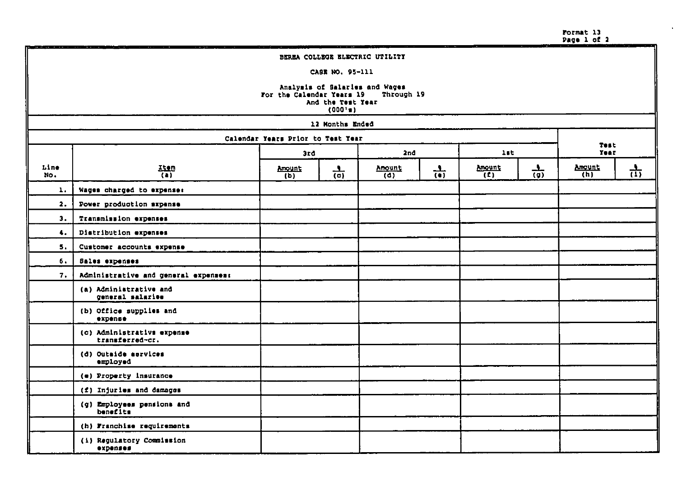Format 13<br>Page 1 of 2

|             | BEREA COLLEGE ELECTRIC UTILITY                                                                               |                                       |                 |                            |                 |                          |                 |               |      |  |  |  |  |
|-------------|--------------------------------------------------------------------------------------------------------------|---------------------------------------|-----------------|----------------------------|-----------------|--------------------------|-----------------|---------------|------|--|--|--|--|
|             |                                                                                                              |                                       | CASE NO. 95-111 |                            |                 |                          |                 |               |      |  |  |  |  |
|             | Analysis of Salaries and Wages<br>For the Calendar Years 19<br>Through 19<br>And the Test Year<br>$(000'$ a) |                                       |                 |                            |                 |                          |                 |               |      |  |  |  |  |
|             | 12 Months Ended                                                                                              |                                       |                 |                            |                 |                          |                 |               |      |  |  |  |  |
|             | Calendar Years Prior to Test Year<br>Test                                                                    |                                       |                 |                            |                 |                          |                 |               |      |  |  |  |  |
|             |                                                                                                              | 3rd                                   |                 | 2nd                        |                 | lst.                     |                 | Year          |      |  |  |  |  |
| Line<br>No. | 語                                                                                                            | Amount<br>$\overline{(\mathfrak{d})}$ | $\frac{1}{(0)}$ | Amount<br>$\overline{(d)}$ | $\frac{1}{(n)}$ | Amount<br>$\overline{t}$ | $\frac{1}{(9)}$ | Amount<br>(h) | क्ती |  |  |  |  |
| 1.          | Wages charged to expense:                                                                                    |                                       |                 |                            |                 |                          |                 |               |      |  |  |  |  |
| 2.          | Power production sxpense                                                                                     |                                       |                 |                            |                 |                          |                 |               |      |  |  |  |  |
| 3.          | Transmission expenses                                                                                        |                                       |                 |                            |                 |                          |                 |               |      |  |  |  |  |
| 4.          | Distribution expenses                                                                                        |                                       |                 |                            |                 |                          |                 |               |      |  |  |  |  |
| 5.          | Customer accounts expense                                                                                    |                                       |                 |                            |                 |                          |                 |               |      |  |  |  |  |
| 6.          | Sales expenses                                                                                               |                                       |                 |                            |                 |                          |                 |               |      |  |  |  |  |
| 7.          | Administrative and general expenses:                                                                         |                                       |                 |                            |                 |                          |                 |               |      |  |  |  |  |
|             | (a) Administrative and<br>general salaries                                                                   |                                       |                 |                            |                 |                          |                 |               |      |  |  |  |  |
|             | (b) Office supplies and<br>expense                                                                           |                                       |                 |                            |                 |                          |                 |               |      |  |  |  |  |
|             | (c) Administrativs expense<br>transferred-cr.                                                                |                                       |                 |                            |                 |                          |                 |               |      |  |  |  |  |
|             | (d) Outside services<br>employed                                                                             |                                       |                 |                            |                 |                          |                 |               |      |  |  |  |  |
|             | (e) Property insurance                                                                                       |                                       |                 |                            |                 |                          |                 |               |      |  |  |  |  |
|             | (f) Injuries and damages                                                                                     |                                       |                 |                            |                 |                          |                 |               |      |  |  |  |  |
|             | (g) Employees pensions and<br>benefits                                                                       |                                       |                 |                            |                 |                          |                 |               |      |  |  |  |  |
|             | (h) Franchise requirements                                                                                   |                                       |                 |                            |                 |                          |                 |               |      |  |  |  |  |
|             | (i) Regulatory Commission<br>expenses                                                                        |                                       |                 |                            |                 |                          |                 |               |      |  |  |  |  |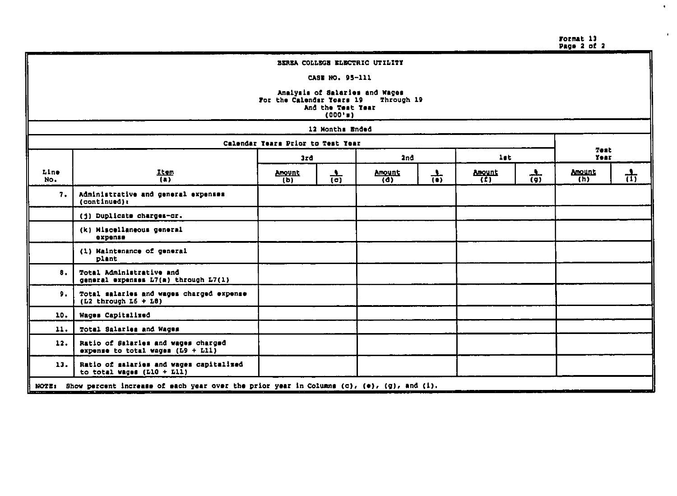Format 13<br>Page 2 of 2

 $\mathbf{v}$ 

 $\mathbf{r}$ 

|             | BEREA COLLEGE ELECTRIC UTILITY                                                                                    |               |                 |                                 |                 |                      |                 |                                |    |  |  |  |  |
|-------------|-------------------------------------------------------------------------------------------------------------------|---------------|-----------------|---------------------------------|-----------------|----------------------|-----------------|--------------------------------|----|--|--|--|--|
|             |                                                                                                                   |               | CASE NO. 95-111 |                                 |                 |                      |                 |                                |    |  |  |  |  |
|             | Analysis of Salaries and Wages<br>For the Calendar Years 19<br>Through 19<br>And the Test Year<br>$(000 \cdot n)$ |               |                 |                                 |                 |                      |                 |                                |    |  |  |  |  |
|             |                                                                                                                   |               | 12 Months Ended |                                 |                 |                      |                 |                                |    |  |  |  |  |
|             | Calendar Years Prior to Test Year                                                                                 |               |                 |                                 |                 |                      |                 |                                |    |  |  |  |  |
|             | Test<br>let<br>2nd<br><b>Year</b><br>3rd                                                                          |               |                 |                                 |                 |                      |                 |                                |    |  |  |  |  |
| Line<br>No. | Item<br>$\overline{a}$                                                                                            | Amount<br>(b) | $\frac{1}{(d)}$ | <b>Amount</b><br>$\overline{a}$ | $\frac{1}{(6)}$ | <b>Anount</b><br>(2) | $\frac{1}{(9)}$ | Anount<br>$\overline{(\hbar)}$ | ती |  |  |  |  |
| 7.          | Administrative and general expenses<br>(continued):                                                               |               |                 |                                 |                 |                      |                 |                                |    |  |  |  |  |
|             | (j) Duplicate charges-or.                                                                                         |               |                 |                                 |                 |                      |                 |                                |    |  |  |  |  |
|             | (k) Miscellaneous general<br>expense                                                                              |               |                 |                                 |                 |                      |                 |                                |    |  |  |  |  |
|             | (1) Maintenance of general<br>plant                                                                               |               |                 |                                 |                 |                      |                 |                                |    |  |  |  |  |
| 8.          | Total Administrative and<br>general expenses L7(a) through L7(1)                                                  |               |                 |                                 |                 |                      |                 |                                |    |  |  |  |  |
| 9.          | Total salaries and wages charged expense<br>$(L2$ through $L6 + L8$ )                                             |               |                 |                                 |                 |                      |                 |                                |    |  |  |  |  |
| 10.         | Wages Capitalized                                                                                                 |               |                 |                                 |                 |                      |                 |                                |    |  |  |  |  |
| 11.         | Total Salaries and Wages                                                                                          |               |                 |                                 |                 |                      |                 |                                |    |  |  |  |  |
| 12.         | Ratio of Salaries and wages charged<br>expense to total wages $(L9 + L11)$                                        |               |                 |                                 |                 |                      |                 |                                |    |  |  |  |  |
| 13.         | Ratio of salaries and wages capitalized<br>to total wages $(L10 + L11)$                                           |               |                 |                                 |                 |                      |                 |                                |    |  |  |  |  |
|             | NOTE: Show percent increase of each year over the prior year in Columns (c), (e), (g), and (i).                   |               |                 |                                 |                 |                      |                 |                                |    |  |  |  |  |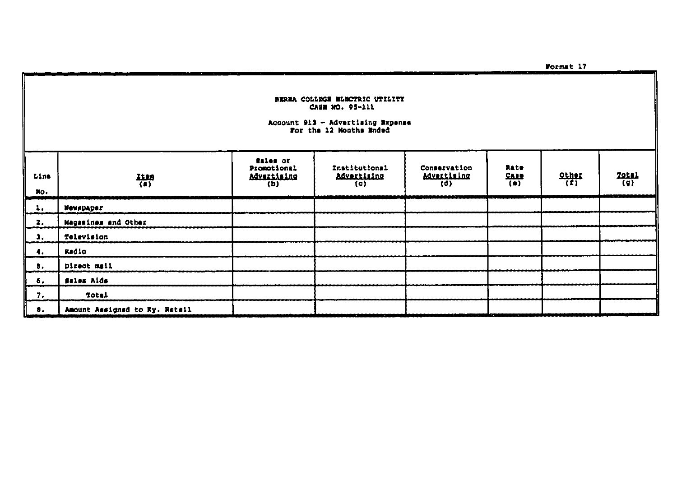BEREA COLLEGE BLECTRIC UTILITY CASE NO. 95-111 Account 913 - Advertising Expense<br>For the 12 Months Ended Sales or Promotional Institutional Conservation Rate  $rac{\text{Other}}{\binom{p}{k}}$  $T$ otal<br>(g) **Advertising** Advertising **Advertising Case**  $\frac{1100}{(8)}$  $\overline{(\mathsf{d})}$  $\overline{(*)}$  $(b)$  $(0)$ **Newspaper** Magasines and Other Television Radio Direct mail Sales Aids Total

Line

 $M_O$  $\mathbf{1}$ 

 $\ddot{\mathbf{a}}$ .

 $\mathbf{a}$  $\ddot{\bullet}$ .

5.

6,  $7.$ 

 $\bullet$ .

Amount Assigned to Ky. Netail

Format 17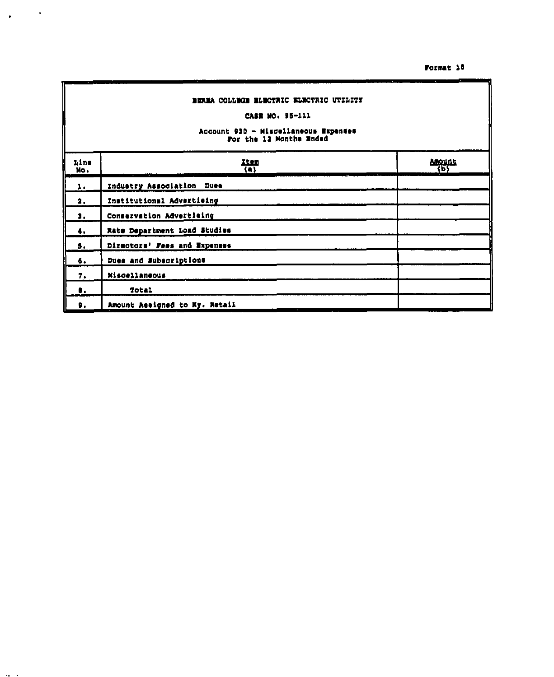#### Format 10

#### BEREA COLLEGE BLECTRIC ELECTRIC UTILITY CASE MO. 95-111 Account 930 - Miscellaneous Expenses For the 12 Months Ended  $\frac{2\tan}{(n)}$ Anount<br>(b) Line No. Industry Association Dues  $\mathbf{L}$  . Institutional Advertising  $\overline{\mathbf{a}}$ . Conservation Advertising 1.  $\ddot{\bullet}$ . Rate Department Load Studies Directors' Fees and Expenses 5.  $\delta$ . Dues and Subscriptions 7. Miscellaneous  $\pmb{0}$  . **Total** Amount Assigned to Ky. Retail  $\mathbf{p}$  .

 $\sim 10^{-10}$  M

 $\bullet$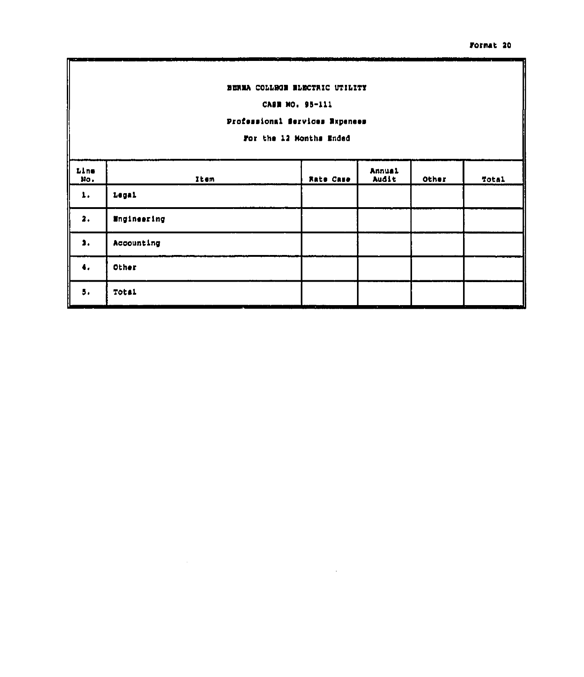#### BERMA COLLEGE BLECTRIC UTILITY

CASE NO. 95-111

## Professional Services Expenses

For the 12 Months Ended

| Line<br>$30$ . | Item               | Rate Case | Annual<br>Audit | Other | Total    |
|----------------|--------------------|-----------|-----------------|-------|----------|
| ı.             | Legal              |           |                 |       |          |
| 2.             | <b>Engineering</b> |           |                 |       |          |
| 1.             | Accounting         |           |                 |       |          |
| 4.             | Other              |           |                 |       |          |
| 5.             | <b>Total</b>       |           | ٠               |       | $\cdots$ |

 $\sim$